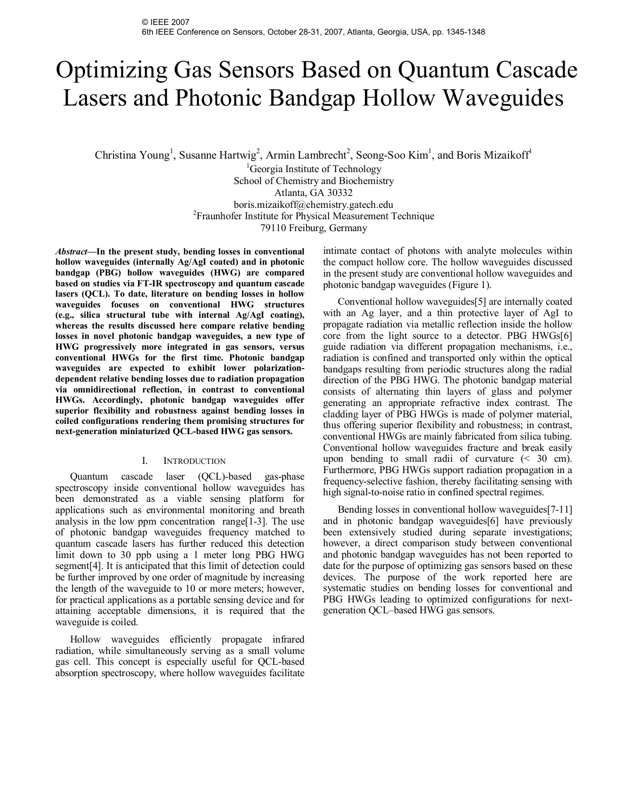# Optimizing Gas Sensors Based on Quantum Cascade Lasers and Photonic Bandgap Hollow Waveguides

Christina Young<sup>1</sup>, Susanne Hartwig<sup>2</sup>, Armin Lambrecht<sup>2</sup>, Seong-Soo Kim<sup>1</sup>, and Boris Mizaikoff<sup>1</sup>

<sup>1</sup>Georgia Institute of Technology School of Chemistry and Biochemistry Atlanta, GA 30332 boris.mizaikoff@chemistry.gatech.edu <sup>2</sup> Fraunhofer Institute for Physical Measurement Technique 79110 Freiburg, Germany

*Abstract***—In the present study, bending losses in conventional hollow waveguides (internally Ag/AgI coated) and in photonic bandgap (PBG) hollow waveguides (HWG) are compared based on studies via FT-IR spectroscopy and quantum cascade lasers (QCL). To date, literature on bending losses in hollow waveguides focuses on conventional HWG structures (e.g., silica structural tube with internal Ag/AgI coating), whereas the results discussed here compare relative bending losses in novel photonic bandgap waveguides, a new type of HWG progressively more integrated in gas sensors, versus conventional HWGs for the first time. Photonic bandgap waveguides are expected to exhibit lower polarizationdependent relative bending losses due to radiation propagation via omnidirectional reflection, in contrast to conventional HWGs. Accordingly, photonic bandgap waveguides offer superior flexibility and robustness against bending losses in coiled configurations rendering them promising structures for next-generation miniaturized QCL-based HWG gas sensors.** 

# I. INTRODUCTION

Quantum cascade laser (QCL)-based gas-phase spectroscopy inside conventional hollow waveguides has been demonstrated as a viable sensing platform for applications such as environmental monitoring and breath analysis in the low ppm concentration range[1-3]. The use of photonic bandgap waveguides frequency matched to quantum cascade lasers has further reduced this detection limit down to 30 ppb using a 1 meter long PBG HWG segment[4]. It is anticipated that this limit of detection could be further improved by one order of magnitude by increasing the length of the waveguide to 10 or more meters; however, for practical applications as a portable sensing device and for attaining acceptable dimensions, it is required that the waveguide is coiled.

Hollow waveguides efficiently propagate infrared radiation, while simultaneously serving as a small volume gas cell. This concept is especially useful for QCL-based absorption spectroscopy, where hollow waveguides facilitate intimate contact of photons with analyte molecules within the compact hollow core. The hollow waveguides discussed in the present study are conventional hollow waveguides and photonic bandgap waveguides (Figure 1).

Conventional hollow waveguides[5] are internally coated with an Ag layer, and a thin protective layer of AgI to propagate radiation via metallic reflection inside the hollow core from the light source to a detector. PBG HWGs[6] guide radiation via different propagation mechanisms, i.e., radiation is confined and transported only within the optical bandgaps resulting from periodic structures along the radial direction of the PBG HWG. The photonic bandgap material consists of alternating thin layers of glass and polymer generating an appropriate refractive index contrast. The cladding layer of PBG HWGs is made of polymer material, thus offering superior flexibility and robustness; in contrast, conventional HWGs are mainly fabricated from silica tubing. Conventional hollow waveguides fracture and break easily upon bending to small radii of curvature  $(5.30 \text{ cm})$ . Furthermore, PBG HWGs support radiation propagation in a frequency-selective fashion, thereby facilitating sensing with high signal-to-noise ratio in confined spectral regimes.

Bending losses in conventional hollow waveguides[7-11] and in photonic bandgap waveguides[6] have previously been extensively studied during separate investigations; however, a direct comparison study between conventional and photonic bandgap waveguides has not been reported to date for the purpose of optimizing gas sensors based on these devices. The purpose of the work reported here are systematic studies on bending losses for conventional and PBG HWGs leading to optimized configurations for nextgeneration QCL–based HWG gas sensors.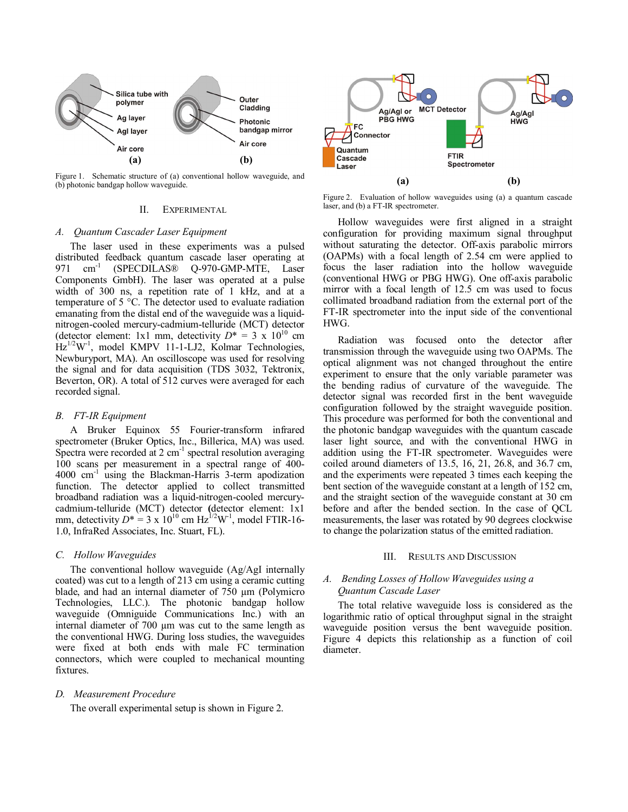

Figure 1. Schematic structure of (a) conventional hollow waveguide, and (b) photonic bandgap hollow waveguide.

## II. EXPERIMENTAL

#### *A. Quantum Cascader Laser Equipment*

The laser used in these experiments was a pulsed distributed feedback quantum cascade laser operating at 971 cm<sup>-1</sup> (SPECDILAS® Q-970-GMP-MTE, Laser Components GmbH). The laser was operated at a pulse width of 300 ns, a repetition rate of 1 kHz, and at a temperature of 5 °C. The detector used to evaluate radiation emanating from the distal end of the waveguide was a liquidnitrogen-cooled mercury-cadmium-telluride (MCT) detector (detector element: 1x1 mm, detectivity  $D^* = 3 \times 10^{10}$  cm  $Hz^{1/2}W^{-1}$ , model KMPV 11-1-LJ2, Kolmar Technologies, Newburyport, MA). An oscilloscope was used for resolving the signal and for data acquisition (TDS 3032, Tektronix, Beverton, OR). A total of 512 curves were averaged for each recorded signal.

## *B. FT-IR Equipment*

A Bruker Equinox 55 Fourier-transform infrared spectrometer (Bruker Optics, Inc., Billerica, MA) was used. Spectra were recorded at  $2 \text{ cm}^{-1}$  spectral resolution averaging 100 scans per measurement in a spectral range of 400- 4000 cm-1 using the Blackman-Harris 3-term apodization function. The detector applied to collect transmitted broadband radiation was a liquid-nitrogen-cooled mercurycadmium-telluride (MCT) detector **(**detector element: 1x1 mm, detectivity  $D^* = 3 \times 10^{10}$  cm Hz<sup>1/2</sup>W<sup>-1</sup>, model FTIR-16-1.0, InfraRed Associates, Inc. Stuart, FL).

## *C. Hollow Waveguides*

The conventional hollow waveguide (Ag/AgI internally coated) was cut to a length of 213 cm using a ceramic cutting blade, and had an internal diameter of 750  $\mu$ m (Polymicro Technologies, LLC.). The photonic bandgap hollow waveguide (Omniguide Communications Inc.) with an internal diameter of 700 µm was cut to the same length as the conventional HWG. During loss studies, the waveguides were fixed at both ends with male FC termination connectors, which were coupled to mechanical mounting fixtures.

## *D. Measurement Procedure*

The overall experimental setup is shown in Figure 2.



Figure 2. Evaluation of hollow waveguides using (a) a quantum cascade laser, and (b) a FT-IR spectrometer.

Hollow waveguides were first aligned in a straight configuration for providing maximum signal throughput without saturating the detector. Off-axis parabolic mirrors (OAPMs) with a focal length of 2.54 cm were applied to focus the laser radiation into the hollow waveguide (conventional HWG or PBG HWG). One off-axis parabolic mirror with a focal length of 12.5 cm was used to focus collimated broadband radiation from the external port of the FT-IR spectrometer into the input side of the conventional HWG.

Radiation was focused onto the detector after transmission through the waveguide using two OAPMs. The optical alignment was not changed throughout the entire experiment to ensure that the only variable parameter was the bending radius of curvature of the waveguide. The detector signal was recorded first in the bent waveguide configuration followed by the straight waveguide position. This procedure was performed for both the conventional and the photonic bandgap waveguides with the quantum cascade laser light source, and with the conventional HWG in addition using the FT-IR spectrometer. Waveguides were coiled around diameters of 13.5, 16, 21, 26.8, and 36.7 cm, and the experiments were repeated 3 times each keeping the bent section of the waveguide constant at a length of 152 cm, and the straight section of the waveguide constant at 30 cm before and after the bended section. In the case of QCL measurements, the laser was rotated by 90 degrees clockwise to change the polarization status of the emitted radiation.

#### III. RESULTS AND DISCUSSION

# *A. Bending Losses of Hollow Waveguides using a Quantum Cascade Laser*

The total relative waveguide loss is considered as the logarithmic ratio of optical throughput signal in the straight waveguide position versus the bent waveguide position. Figure 4 depicts this relationship as a function of coil diameter.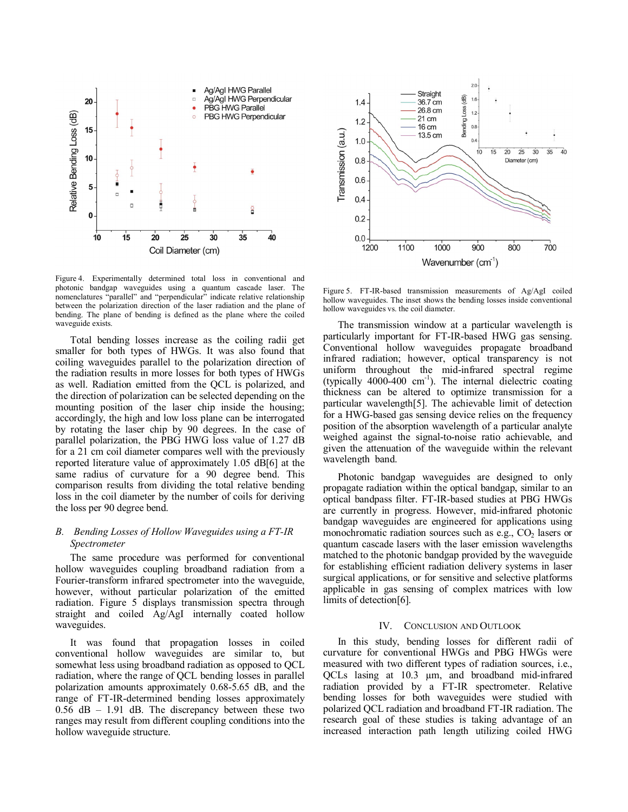

Figure 4. Experimentally determined total loss in conventional and photonic bandgap waveguides using a quantum cascade laser. The nomenclatures "parallel" and "perpendicular" indicate relative relationship between the polarization direction of the laser radiation and the plane of bending. The plane of bending is defined as the plane where the coiled waveguide exists.

Total bending losses increase as the coiling radii get smaller for both types of HWGs. It was also found that coiling waveguides parallel to the polarization direction of the radiation results in more losses for both types of HWGs as well. Radiation emitted from the QCL is polarized, and the direction of polarization can be selected depending on the mounting position of the laser chip inside the housing; accordingly, the high and low loss plane can be interrogated by rotating the laser chip by 90 degrees. In the case of parallel polarization, the PBG HWG loss value of 1.27 dB for a 21 cm coil diameter compares well with the previously reported literature value of approximately 1.05 dB[6] at the same radius of curvature for a 90 degree bend. This comparison results from dividing the total relative bending loss in the coil diameter by the number of coils for deriving the loss per 90 degree bend.

# *B. Bending Losses of Hollow Waveguides using a FT-IR Spectrometer*

The same procedure was performed for conventional hollow waveguides coupling broadband radiation from a Fourier-transform infrared spectrometer into the waveguide, however, without particular polarization of the emitted radiation. Figure 5 displays transmission spectra through straight and coiled Ag/AgI internally coated hollow waveguides.

It was found that propagation losses in coiled conventional hollow waveguides are similar to, but somewhat less using broadband radiation as opposed to QCL radiation, where the range of QCL bending losses in parallel polarization amounts approximately 0.68-5.65 dB, and the range of FT-IR-determined bending losses approximately 0.56 dB – 1.91 dB. The discrepancy between these two ranges may result from different coupling conditions into the hollow waveguide structure.



Figure 5. FT-IR-based transmission measurements of Ag/AgI coiled hollow waveguides. The inset shows the bending losses inside conventional hollow waveguides vs. the coil diameter.

The transmission window at a particular wavelength is particularly important for FT-IR-based HWG gas sensing. Conventional hollow waveguides propagate broadband infrared radiation; however, optical transparency is not uniform throughout the mid-infrared spectral regime (typically  $4000-400$  cm<sup>-1</sup>). The internal dielectric coating thickness can be altered to optimize transmission for a particular wavelength[5]. The achievable limit of detection for a HWG-based gas sensing device relies on the frequency position of the absorption wavelength of a particular analyte weighed against the signal-to-noise ratio achievable, and given the attenuation of the waveguide within the relevant wavelength band.

Photonic bandgap waveguides are designed to only propagate radiation within the optical bandgap, similar to an optical bandpass filter. FT-IR-based studies at PBG HWGs are currently in progress. However, mid-infrared photonic bandgap waveguides are engineered for applications using monochromatic radiation sources such as e.g.,  $CO<sub>2</sub>$  lasers or quantum cascade lasers with the laser emission wavelengths matched to the photonic bandgap provided by the waveguide for establishing efficient radiation delivery systems in laser surgical applications, or for sensitive and selective platforms applicable in gas sensing of complex matrices with low limits of detection[6].

#### IV. CONCLUSION AND OUTLOOK

In this study, bending losses for different radii of curvature for conventional HWGs and PBG HWGs were measured with two different types of radiation sources, i.e., QCLs lasing at 10.3 µm, and broadband mid-infrared radiation provided by a FT-IR spectrometer. Relative bending losses for both waveguides were studied with polarized QCL radiation and broadband FT-IR radiation. The research goal of these studies is taking advantage of an increased interaction path length utilizing coiled HWG